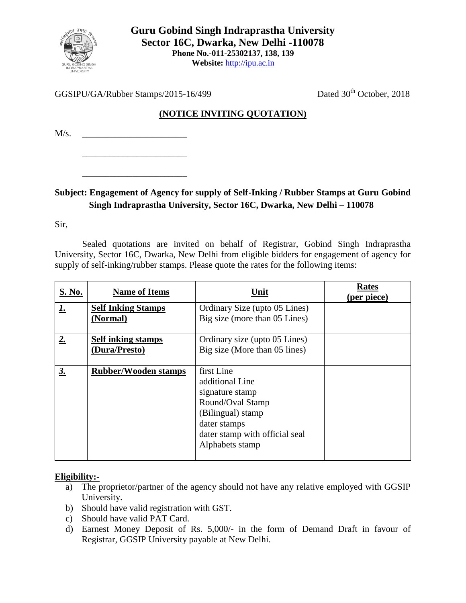

GGSIPU/GA/Rubber Stamps/2015-16/499 Dated 30<sup>th</sup> October, 2018

## **(NOTICE INVITING QUOTATION)**

 $M/s$ .

\_\_\_\_\_\_\_\_\_\_\_\_\_\_\_\_\_\_\_\_\_\_\_

\_\_\_\_\_\_\_\_\_\_\_\_\_\_\_\_\_\_\_\_\_\_\_

## **Subject: Engagement of Agency for supply of Self-Inking / Rubber Stamps at Guru Gobind Singh Indraprastha University, Sector 16C, Dwarka, New Delhi – 110078**

Sir,

Sealed quotations are invited on behalf of Registrar, Gobind Singh Indraprastha University, Sector 16C, Dwarka, New Delhi from eligible bidders for engagement of agency for supply of self-inking/rubber stamps. Please quote the rates for the following items:

| S. No.<br><b>Name of Items</b>         | Unit                                                                                                                                                           | <b>Rates</b><br>(per piece) |
|----------------------------------------|----------------------------------------------------------------------------------------------------------------------------------------------------------------|-----------------------------|
| <u>1.</u><br><b>Self Inking Stamps</b> | Ordinary Size (upto 05 Lines)                                                                                                                                  |                             |
| (Normal)                               | Big size (more than 05 Lines)                                                                                                                                  |                             |
| 2.<br><b>Self inking stamps</b>        | Ordinary size (upto 05 Lines)                                                                                                                                  |                             |
| (Dura/Presto)                          | Big size (More than 05 lines)                                                                                                                                  |                             |
| 3.<br><b>Rubber/Wooden stamps</b>      | first Line<br>additional Line<br>signature stamp<br>Round/Oval Stamp<br>(Bilingual) stamp<br>dater stamps<br>dater stamp with official seal<br>Alphabets stamp |                             |

## **Eligibility:-**

- a) The proprietor/partner of the agency should not have any relative employed with GGSIP University.
- b) Should have valid registration with GST.
- c) Should have valid PAT Card.
- d) Earnest Money Deposit of Rs. 5,000/- in the form of Demand Draft in favour of Registrar, GGSIP University payable at New Delhi.